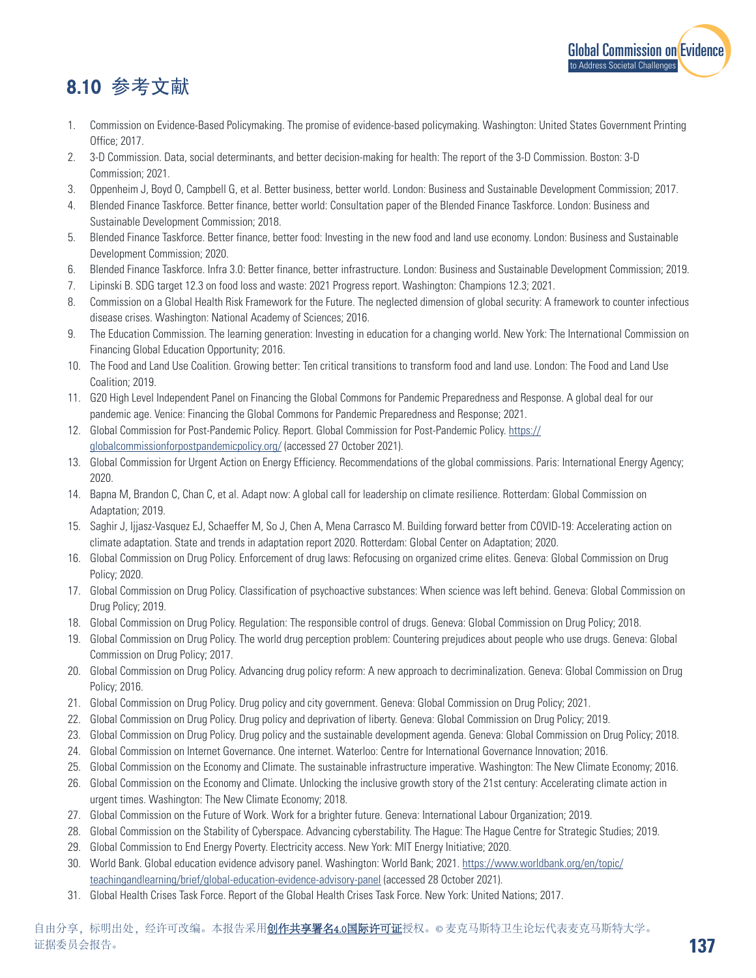

## 8.10 参考文献

- 1. Commission on Evidence-Based Policymaking. The promise of evidence-based policymaking. Washington: United States Government Printing Office; 2017.
- 2. 3-D Commission. Data, social determinants, and better decision-making for health: The report of the 3-D Commission. Boston: 3-D Commission; 2021.
- 3. Oppenheim J, Boyd O, Campbell G, et al. Better business, better world. London: Business and Sustainable Development Commission; 2017.
- 4. Blended Finance Taskforce. Better finance, better world: Consultation paper of the Blended Finance Taskforce. London: Business and Sustainable Development Commission; 2018.
- 5. Blended Finance Taskforce. Better finance, better food: Investing in the new food and land use economy. London: Business and Sustainable Development Commission; 2020.
- 6. Blended Finance Taskforce. Infra 3.0: Better finance, better infrastructure. London: Business and Sustainable Development Commission; 2019.
- 7. Lipinski B. SDG target 12.3 on food loss and waste: 2021 Progress report. Washington: Champions 12.3; 2021.
- 8. Commission on a Global Health Risk Framework for the Future. The neglected dimension of global security: A framework to counter infectious disease crises. Washington: National Academy of Sciences; 2016.
- 9. The Education Commission. The learning generation: Investing in education for a changing world. New York: The International Commission on Financing Global Education Opportunity; 2016.
- 10. The Food and Land Use Coalition. Growing better: Ten critical transitions to transform food and land use. London: The Food and Land Use Coalition; 2019.
- 11. G20 High Level Independent Panel on Financing the Global Commons for Pandemic Preparedness and Response. A global deal for our pandemic age. Venice: Financing the Global Commons for Pandemic Preparedness and Response; 2021.
- 12. Global Commission for Post-Pandemic Policy. Report. Global Commission for Post-Pandemic Policy. [https://](https://globalcommissionforpostpandemicpolicy.org/) [globalcommissionforpostpandemicpolicy.org/](https://globalcommissionforpostpandemicpolicy.org/) (accessed 27 October 2021).
- 13. Global Commission for Urgent Action on Energy Efficiency. Recommendations of the global commissions. Paris: International Energy Agency; 2020.
- 14. Bapna M, Brandon C, Chan C, et al. Adapt now: A global call for leadership on climate resilience. Rotterdam: Global Commission on Adaptation; 2019.
- 15. Saghir J, Ijjasz-Vasquez EJ, Schaeffer M, So J, Chen A, Mena Carrasco M. Building forward better from COVID-19: Accelerating action on climate adaptation. State and trends in adaptation report 2020. Rotterdam: Global Center on Adaptation; 2020.
- 16. Global Commission on Drug Policy. Enforcement of drug laws: Refocusing on organized crime elites. Geneva: Global Commission on Drug Policy; 2020.
- 17. Global Commission on Drug Policy. Classification of psychoactive substances: When science was left behind. Geneva: Global Commission on Drug Policy; 2019.
- 18. Global Commission on Drug Policy. Regulation: The responsible control of drugs. Geneva: Global Commission on Drug Policy; 2018.
- 19. Global Commission on Drug Policy. The world drug perception problem: Countering prejudices about people who use drugs. Geneva: Global Commission on Drug Policy; 2017.
- 20. Global Commission on Drug Policy. Advancing drug policy reform: A new approach to decriminalization. Geneva: Global Commission on Drug Policy; 2016.
- 21. Global Commission on Drug Policy. Drug policy and city government. Geneva: Global Commission on Drug Policy; 2021.
- 22. Global Commission on Drug Policy. Drug policy and deprivation of liberty. Geneva: Global Commission on Drug Policy; 2019.
- 23. Global Commission on Drug Policy. Drug policy and the sustainable development agenda. Geneva: Global Commission on Drug Policy; 2018.
- 24. Global Commission on Internet Governance. One internet. Waterloo: Centre for International Governance Innovation; 2016.
- 25. Global Commission on the Economy and Climate. The sustainable infrastructure imperative. Washington: The New Climate Economy; 2016.
- 26. Global Commission on the Economy and Climate. Unlocking the inclusive growth story of the 21st century: Accelerating climate action in urgent times. Washington: The New Climate Economy; 2018.
- 27. Global Commission on the Future of Work. Work for a brighter future. Geneva: International Labour Organization; 2019.
- 28. Global Commission on the Stability of Cyberspace. Advancing cyberstability. The Hague: The Hague Centre for Strategic Studies; 2019.
- 29. Global Commission to End Energy Poverty. Electricity access. New York: MIT Energy Initiative; 2020.
- 30. World Bank. Global education evidence advisory panel. Washington: World Bank; 2021. [https://www.worldbank.org/en/topic/](https://www.worldbank.org/en/topic/teachingandlearning/brief/global-education-evidence-advisory-panel) [teachingandlearning/brief/global-education-evidence-advisory-panel](https://www.worldbank.org/en/topic/teachingandlearning/brief/global-education-evidence-advisory-panel) (accessed 28 October 2021).
- 31. Global Health Crises Task Force. Report of the Global Health Crises Task Force. New York: United Nations; 2017.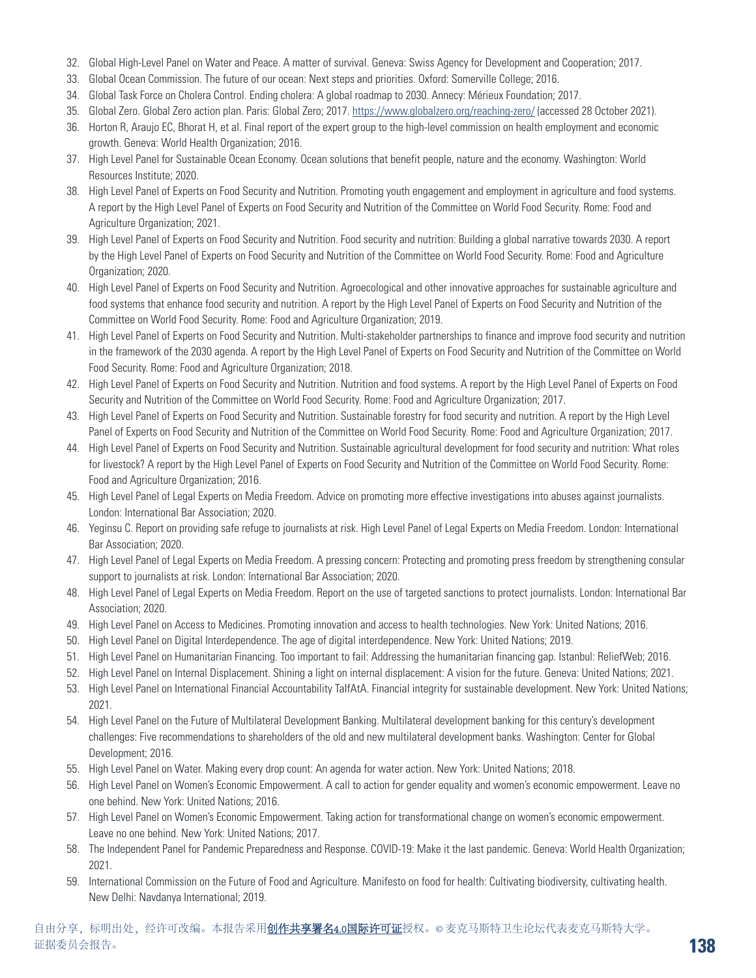- 32. Global High-Level Panel on Water and Peace. A matter of survival. Geneva: Swiss Agency for Development and Cooperation; 2017.
- 33. Global Ocean Commission. The future of our ocean: Next steps and priorities. Oxford: Somerville College; 2016.
- 34. Global Task Force on Cholera Control. Ending cholera: A global roadmap to 2030. Annecy: Mérieux Foundation; 2017.
- 35. Global Zero. Global Zero action plan. Paris: Global Zero; 2017. <https://www.globalzero.org/reaching-zero/> (accessed 28 October 2021).
- 36. Horton R, Araujo EC, Bhorat H, et al. Final report of the expert group to the high-level commission on health employment and economic growth. Geneva: World Health Organization; 2016.
- 37. High Level Panel for Sustainable Ocean Economy. Ocean solutions that benefit people, nature and the economy. Washington: World Resources Institute; 2020.
- 38. High Level Panel of Experts on Food Security and Nutrition. Promoting youth engagement and employment in agriculture and food systems. A report by the High Level Panel of Experts on Food Security and Nutrition of the Committee on World Food Security. Rome: Food and Agriculture Organization; 2021.
- 39. High Level Panel of Experts on Food Security and Nutrition. Food security and nutrition: Building a global narrative towards 2030. A report by the High Level Panel of Experts on Food Security and Nutrition of the Committee on World Food Security. Rome: Food and Agriculture Organization; 2020.
- 40. High Level Panel of Experts on Food Security and Nutrition. Agroecological and other innovative approaches for sustainable agriculture and food systems that enhance food security and nutrition. A report by the High Level Panel of Experts on Food Security and Nutrition of the Committee on World Food Security. Rome: Food and Agriculture Organization; 2019.
- 41. High Level Panel of Experts on Food Security and Nutrition. Multi-stakeholder partnerships to finance and improve food security and nutrition in the framework of the 2030 agenda. A report by the High Level Panel of Experts on Food Security and Nutrition of the Committee on World Food Security. Rome: Food and Agriculture Organization; 2018.
- 42. High Level Panel of Experts on Food Security and Nutrition. Nutrition and food systems. A report by the High Level Panel of Experts on Food Security and Nutrition of the Committee on World Food Security. Rome: Food and Agriculture Organization; 2017.
- 43. High Level Panel of Experts on Food Security and Nutrition. Sustainable forestry for food security and nutrition. A report by the High Level Panel of Experts on Food Security and Nutrition of the Committee on World Food Security. Rome: Food and Agriculture Organization; 2017.
- 44. High Level Panel of Experts on Food Security and Nutrition. Sustainable agricultural development for food security and nutrition: What roles for livestock? A report by the High Level Panel of Experts on Food Security and Nutrition of the Committee on World Food Security. Rome: Food and Agriculture Organization; 2016.
- 45. High Level Panel of Legal Experts on Media Freedom. Advice on promoting more effective investigations into abuses against journalists. London: International Bar Association; 2020.
- 46. Yeginsu C. Report on providing safe refuge to journalists at risk. High Level Panel of Legal Experts on Media Freedom. London: International Bar Association; 2020.
- 47. High Level Panel of Legal Experts on Media Freedom. A pressing concern: Protecting and promoting press freedom by strengthening consular support to journalists at risk. London: International Bar Association; 2020.
- 48. High Level Panel of Legal Experts on Media Freedom. Report on the use of targeted sanctions to protect journalists. London: International Bar Association; 2020.
- 49. High Level Panel on Access to Medicines. Promoting innovation and access to health technologies. New York: United Nations; 2016.
- 50. High Level Panel on Digital Interdependence. The age of digital interdependence. New York: United Nations; 2019.
- 51. High Level Panel on Humanitarian Financing. Too important to fail: Addressing the humanitarian financing gap. Istanbul: ReliefWeb; 2016.
- 52. High Level Panel on Internal Displacement. Shining a light on internal displacement: A vision for the future. Geneva: United Nations; 2021.
- 53. High Level Panel on International Financial Accountability TaIfAtA. Financial integrity for sustainable development. New York: United Nations; 2021.
- 54. High Level Panel on the Future of Multilateral Development Banking. Multilateral development banking for this century's development challenges: Five recommendations to shareholders of the old and new multilateral development banks. Washington: Center for Global Development; 2016.
- 55. High Level Panel on Water. Making every drop count: An agenda for water action. New York: United Nations; 2018.
- 56. High Level Panel on Women's Economic Empowerment. A call to action for gender equality and women's economic empowerment. Leave no one behind. New York: United Nations; 2016.
- 57. High Level Panel on Women's Economic Empowerment. Taking action for transformational change on women's economic empowerment. Leave no one behind. New York: United Nations; 2017.
- 58. The Independent Panel for Pandemic Preparedness and Response. COVID-19: Make it the last pandemic. Geneva: World Health Organization; 2021.
- 59. International Commission on the Future of Food and Agriculture. Manifesto on food for health: Cultivating biodiversity, cultivating health. New Delhi: Navdanya International; 2019.